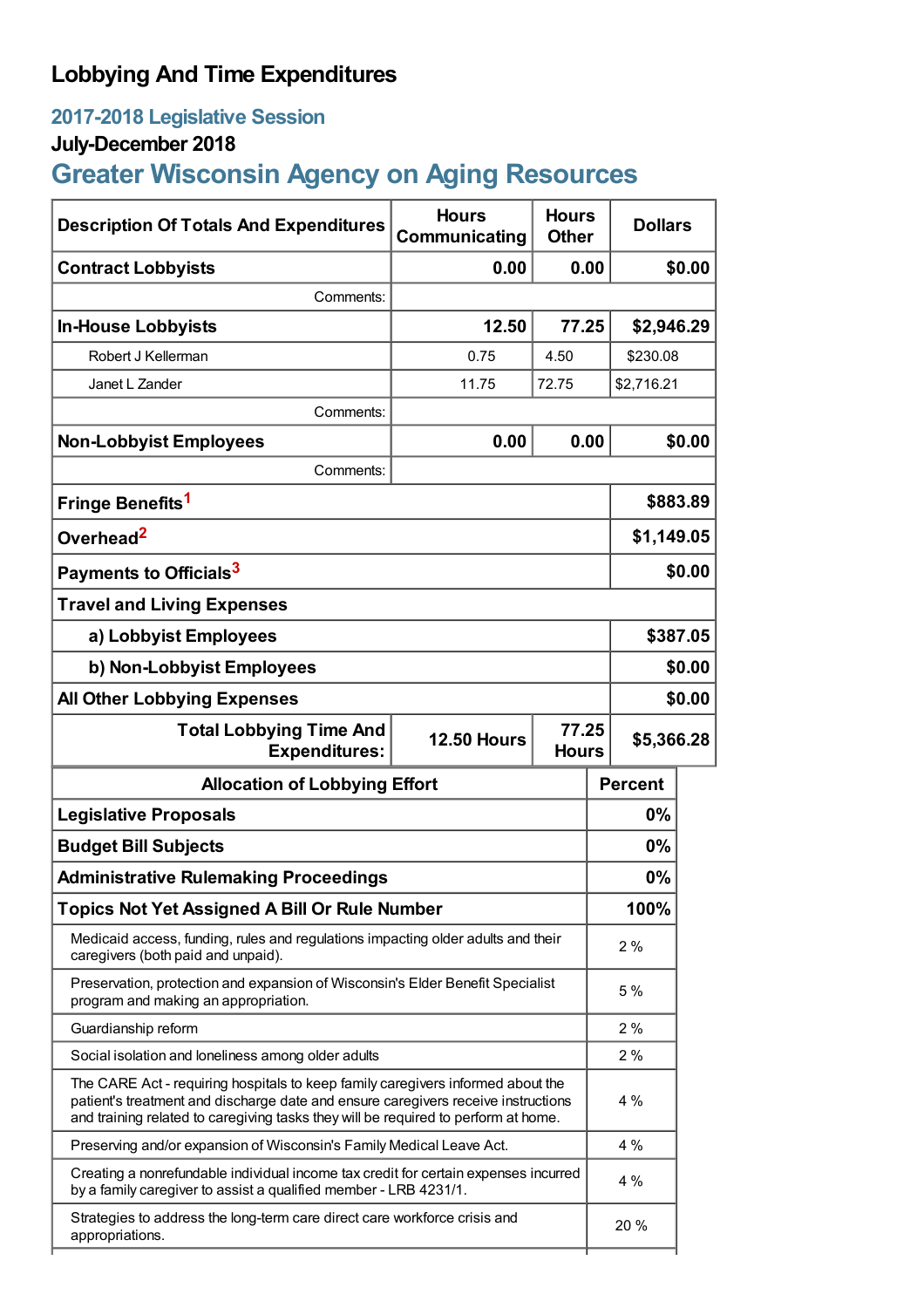## **Lobbying And Time Expenditures**

## **2017-2018 Legislative Session**

## **July-December 2018**

# **Greater Wisconsin Agency on Aging Resources**

| <b>Description Of Totals And Expenditures</b>                                                                                                                                                                                                              | <b>Hours</b><br>Communicating | <b>Hours</b><br><b>Other</b> | <b>Dollars</b> |            |  |
|------------------------------------------------------------------------------------------------------------------------------------------------------------------------------------------------------------------------------------------------------------|-------------------------------|------------------------------|----------------|------------|--|
| <b>Contract Lobbyists</b>                                                                                                                                                                                                                                  | 0.00                          | 0.00                         |                | \$0.00     |  |
| Comments:                                                                                                                                                                                                                                                  |                               |                              |                |            |  |
| <b>In-House Lobbyists</b>                                                                                                                                                                                                                                  | 12.50                         | 77.25                        | \$2,946.29     |            |  |
| Robert J Kellerman                                                                                                                                                                                                                                         | 0.75                          | 4.50                         | \$230.08       |            |  |
| Janet L Zander                                                                                                                                                                                                                                             | 11.75                         | 72.75                        | \$2,716.21     |            |  |
| Comments:                                                                                                                                                                                                                                                  |                               |                              |                |            |  |
| <b>Non-Lobbyist Employees</b>                                                                                                                                                                                                                              | 0.00                          | 0.00                         |                | \$0.00     |  |
| Comments:                                                                                                                                                                                                                                                  |                               |                              |                |            |  |
| Fringe Benefits <sup>1</sup>                                                                                                                                                                                                                               |                               |                              |                | \$883.89   |  |
| Overhead <sup>2</sup>                                                                                                                                                                                                                                      |                               |                              |                | \$1,149.05 |  |
| Payments to Officials <sup>3</sup>                                                                                                                                                                                                                         |                               |                              |                | \$0.00     |  |
| <b>Travel and Living Expenses</b>                                                                                                                                                                                                                          |                               |                              |                |            |  |
| a) Lobbyist Employees                                                                                                                                                                                                                                      |                               |                              |                | \$387.05   |  |
| b) Non-Lobbyist Employees                                                                                                                                                                                                                                  |                               |                              |                | \$0.00     |  |
| <b>All Other Lobbying Expenses</b>                                                                                                                                                                                                                         |                               |                              |                | \$0.00     |  |
| 77.25<br><b>Total Lobbying Time And</b><br><b>12.50 Hours</b><br><b>Expenditures:</b><br><b>Hours</b>                                                                                                                                                      |                               |                              | \$5,366.28     |            |  |
| <b>Allocation of Lobbying Effort</b>                                                                                                                                                                                                                       |                               |                              | <b>Percent</b> |            |  |
| <b>Legislative Proposals</b>                                                                                                                                                                                                                               |                               |                              | $0\%$          |            |  |
| <b>Budget Bill Subjects</b>                                                                                                                                                                                                                                |                               |                              | $0\%$          |            |  |
| <b>Administrative Rulemaking Proceedings</b>                                                                                                                                                                                                               |                               |                              | 0%             |            |  |
| <b>Topics Not Yet Assigned A Bill Or Rule Number</b>                                                                                                                                                                                                       |                               |                              |                |            |  |
| Medicaid access, funding, rules and regulations impacting older adults and their<br>caregivers (both paid and unpaid).                                                                                                                                     |                               |                              | 2%             |            |  |
| Preservation, protection and expansion of Wisconsin's Elder Benefit Specialist<br>program and making an appropriation.                                                                                                                                     |                               |                              | 5%             |            |  |
| Guardianship reform                                                                                                                                                                                                                                        |                               |                              | 2%             |            |  |
| Social isolation and loneliness among older adults                                                                                                                                                                                                         |                               |                              | 2%             |            |  |
| The CARE Act - requiring hospitals to keep family caregivers informed about the<br>patient's treatment and discharge date and ensure caregivers receive instructions<br>and training related to caregiving tasks they will be required to perform at home. |                               |                              | 4%             |            |  |
| Preserving and/or expansion of Wisconsin's Family Medical Leave Act.                                                                                                                                                                                       |                               |                              | 4 %            |            |  |
| Creating a nonrefundable individual income tax credit for certain expenses incurred<br>by a family caregiver to assist a qualified member - LRB 4231/1.                                                                                                    |                               |                              | 4 %            |            |  |
| Strategies to address the long-term care direct care workforce crisis and<br>appropriations.                                                                                                                                                               |                               |                              | 20 %           |            |  |